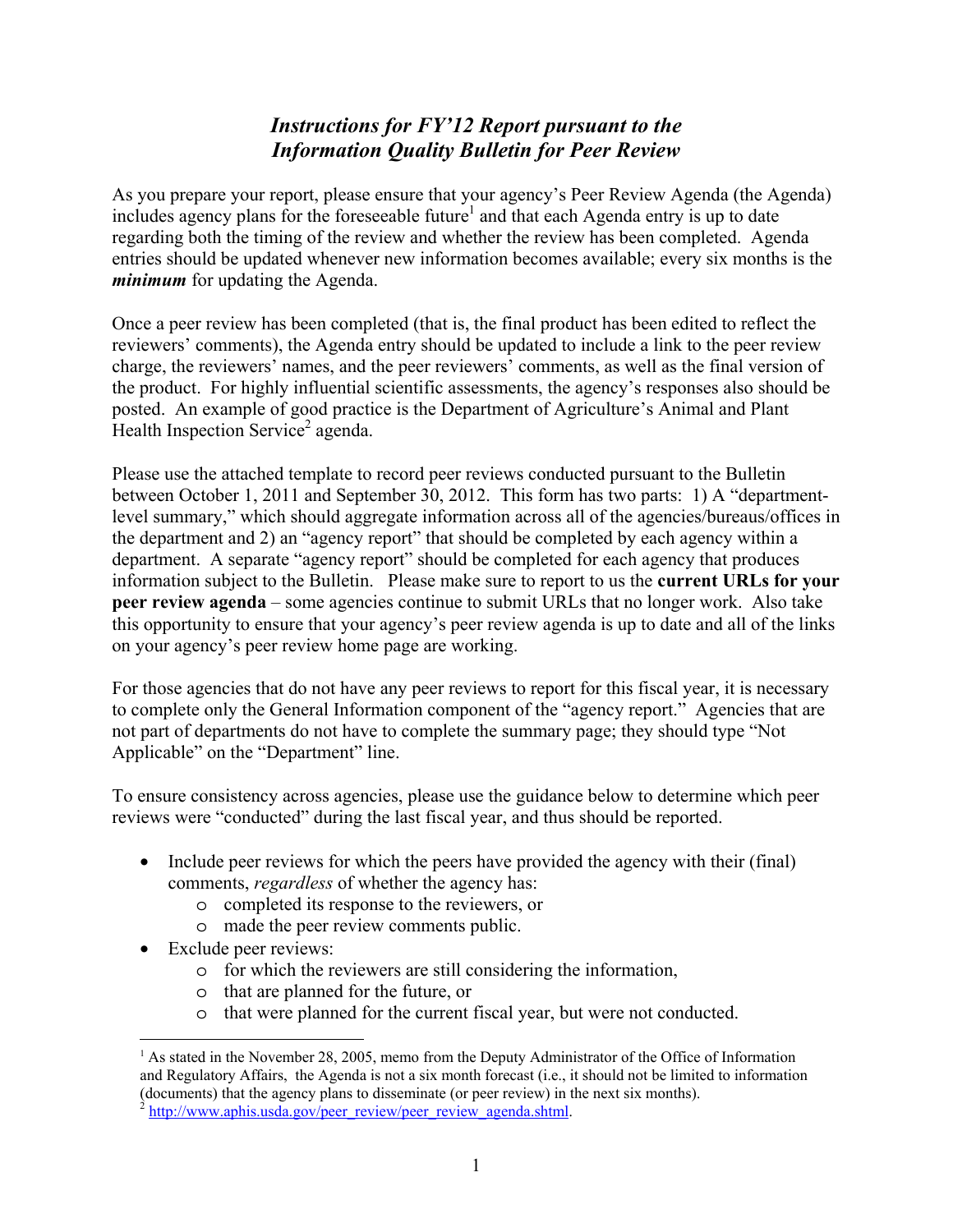## *Instructions for FY'12 Report pursuant to the Information Quality Bulletin for Peer Review*

As you prepare your report, please ensure that your agency's Peer Review Agenda (the Agenda) includes agency plans for the foreseeable future<sup>1</sup> and that each Agenda entry is up to date regarding both the timing of the review and whether the review has been completed. Agenda entries should be updated whenever new information becomes available; every six months is the *minimum* for updating the Agenda.

Once a peer review has been completed (that is, the final product has been edited to reflect the reviewers' comments), the Agenda entry should be updated to include a link to the peer review charge, the reviewers' names, and the peer reviewers' comments, as well as the final version of the product. For highly influential scientific assessments, the agency's responses also should be posted. An example of good practice is the Department of Agriculture's Animal and Plant Health Inspection Service<sup>2</sup> agenda.

Please use the attached template to record peer reviews conducted pursuant to the Bulletin between October 1, 2011 and September 30, 2012. This form has two parts: 1) A "departmentlevel summary," which should aggregate information across all of the agencies/bureaus/offices in the department and 2) an "agency report" that should be completed by each agency within a department. A separate "agency report" should be completed for each agency that produces information subject to the Bulletin. Please make sure to report to us the **current URLs for your peer review agenda** – some agencies continue to submit URLs that no longer work. Also take this opportunity to ensure that your agency's peer review agenda is up to date and all of the links on your agency's peer review home page are working.

For those agencies that do not have any peer reviews to report for this fiscal year, it is necessary to complete only the General Information component of the "agency report." Agencies that are not part of departments do not have to complete the summary page; they should type "Not Applicable" on the "Department" line.

To ensure consistency across agencies, please use the guidance below to determine which peer reviews were "conducted" during the last fiscal year, and thus should be reported.

- Include peer reviews for which the peers have provided the agency with their (final) comments, *regardless* of whether the agency has:
	- o completed its response to the reviewers, or
	- o made the peer review comments public.
- Exclude peer reviews:

 $\overline{a}$ 

- o for which the reviewers are still considering the information,
- o that are planned for the future, or
- o that were planned for the current fiscal year, but were not conducted.

<sup>&</sup>lt;sup>1</sup> As stated in the November 28, 2005, memo from the Deputy Administrator of the Office of Information and Regulatory Affairs, the Agenda is not a six month forecast (i.e., it should not be limited to information (documents) that the agency plans to disseminate (or peer review) in the next six months).

http://www.aphis.usda.gov/peer\_review/peer\_review\_agenda.shtml.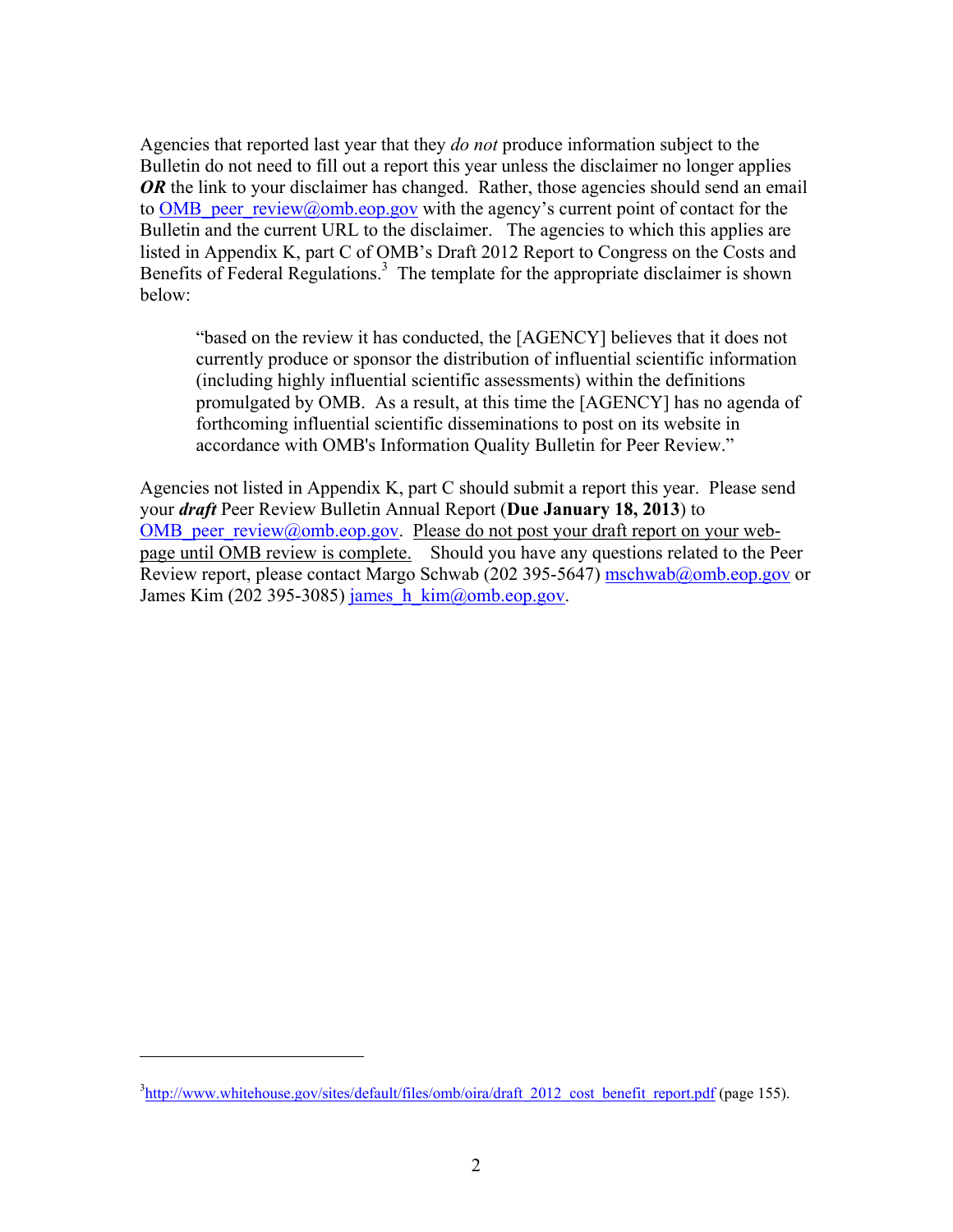Agencies that reported last year that they *do not* produce information subject to the Bulletin do not need to fill out a report this year unless the disclaimer no longer applies *OR* the link to your disclaimer has changed. Rather, those agencies should send an email to OMB peer review@omb.eop.gov with the agency's current point of contact for the Bulletin and the current URL to the disclaimer. The agencies to which this applies are listed in Appendix K, part C of OMB's Draft 2012 Report to Congress on the Costs and Benefits of Federal Regulations.<sup>3</sup> The template for the appropriate disclaimer is shown below:

"based on the review it has conducted, the [AGENCY] believes that it does not currently produce or sponsor the distribution of influential scientific information (including highly influential scientific assessments) within the definitions promulgated by OMB. As a result, at this time the [AGENCY] has no agenda of forthcoming influential scientific disseminations to post on its website in accordance with OMB's Information Quality Bulletin for Peer Review."

Agencies not listed in Appendix K, part C should submit a report this year. Please send your *draft* Peer Review Bulletin Annual Report (**Due January 18, 2013**) to OMB peer review@omb.eop.gov. Please do not post your draft report on your webpage until OMB review is complete.Should you have any questions related to the Peer Review report, please contact Margo Schwab (202 395-5647) mschwab@omb.eop.gov or James Kim (202 395-3085) james  $h$  kim $\omega$ omb.eop.gov.

 $\overline{a}$ 

<sup>&</sup>lt;sup>3</sup>http://www.whitehouse.gov/sites/default/files/omb/oira/draft\_2012\_cost\_benefit\_report.pdf (page 155).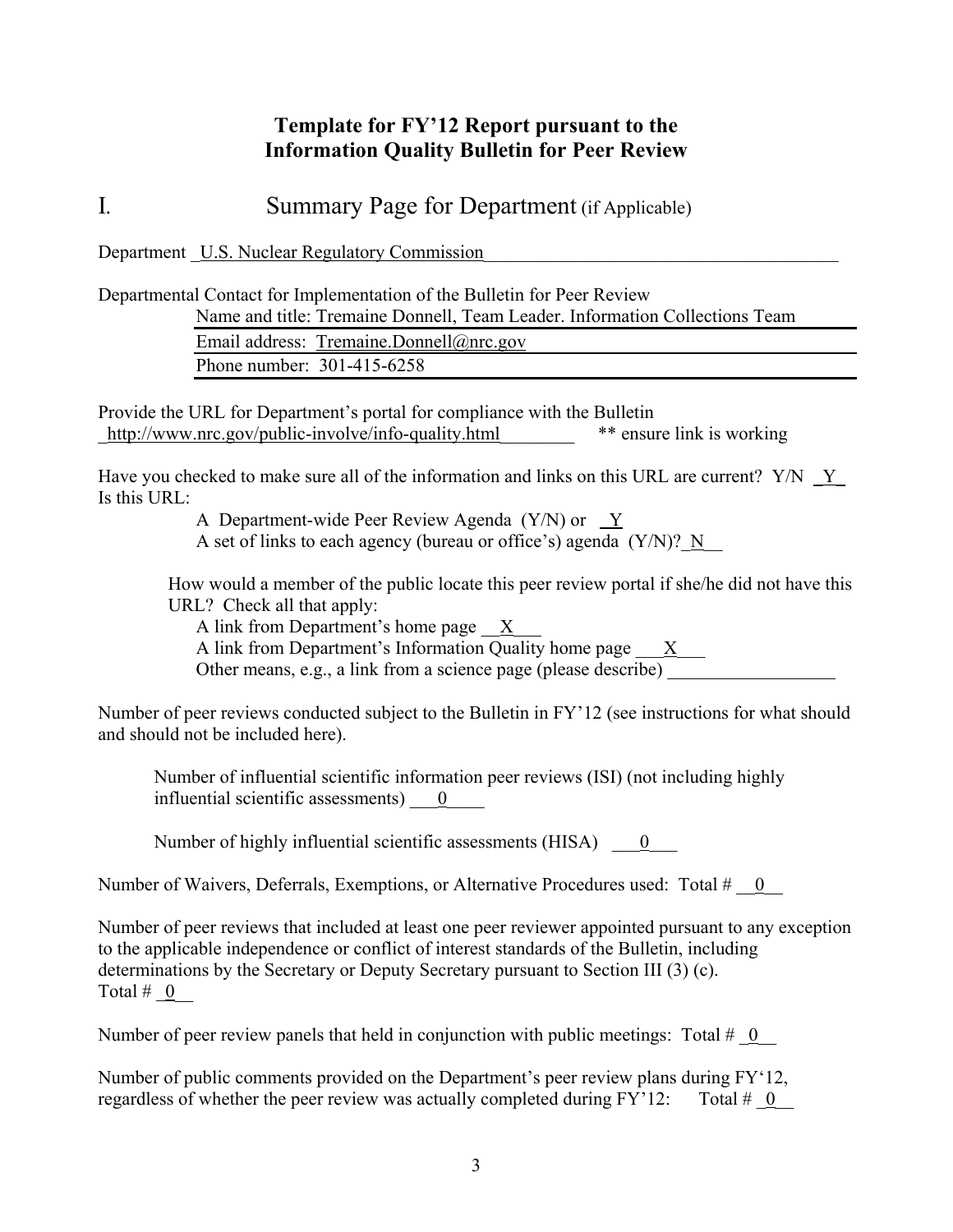## **Template for FY'12 Report pursuant to the Information Quality Bulletin for Peer Review**

I*.* Summary Page for Department (if Applicable)

Department U.S. Nuclear Regulatory Commission

Departmental Contact for Implementation of the Bulletin for Peer Review Name and title: Tremaine Donnell, Team Leader. Information Collections Team

Email address: Tremaine.Donnell@nrc.gov Phone number: 301-415-6258

Provide the URL for Department's portal for compliance with the Bulletin http://www.nrc.gov/public-involve/info-quality.html \*\* ensure link is working

Have you checked to make sure all of the information and links on this URL are current?  $Y/N \ Y$ Is this URL:

> A Department-wide Peer Review Agenda (Y/N) or Y A set of links to each agency (bureau or office's) agenda  $(Y/N)$ ? N

How would a member of the public locate this peer review portal if she/he did not have this URL? Check all that apply:

A link from Department's home page X

A link from Department's Information Quality home page  $\frac{X}{X}$ 

Other means, e.g., a link from a science page (please describe)

Number of peer reviews conducted subject to the Bulletin in FY'12 (see instructions for what should and should not be included here).

Number of influential scientific information peer reviews (ISI) (not including highly influential scientific assessments)  $\qquad 0$ 

Number of highly influential scientific assessments (HISA)  $\qquad 0$ 

Number of Waivers, Deferrals, Exemptions, or Alternative Procedures used: Total #  $\phantom{0}0$ 

Number of peer reviews that included at least one peer reviewer appointed pursuant to any exception to the applicable independence or conflict of interest standards of the Bulletin, including determinations by the Secretary or Deputy Secretary pursuant to Section III (3) (c). Total  $\#$  0

Number of peer review panels that held in conjunction with public meetings: Total  $\#$  0

Number of public comments provided on the Department's peer review plans during FY'12, regardless of whether the peer review was actually completed during  $FY'12$ : Total  $\#$  0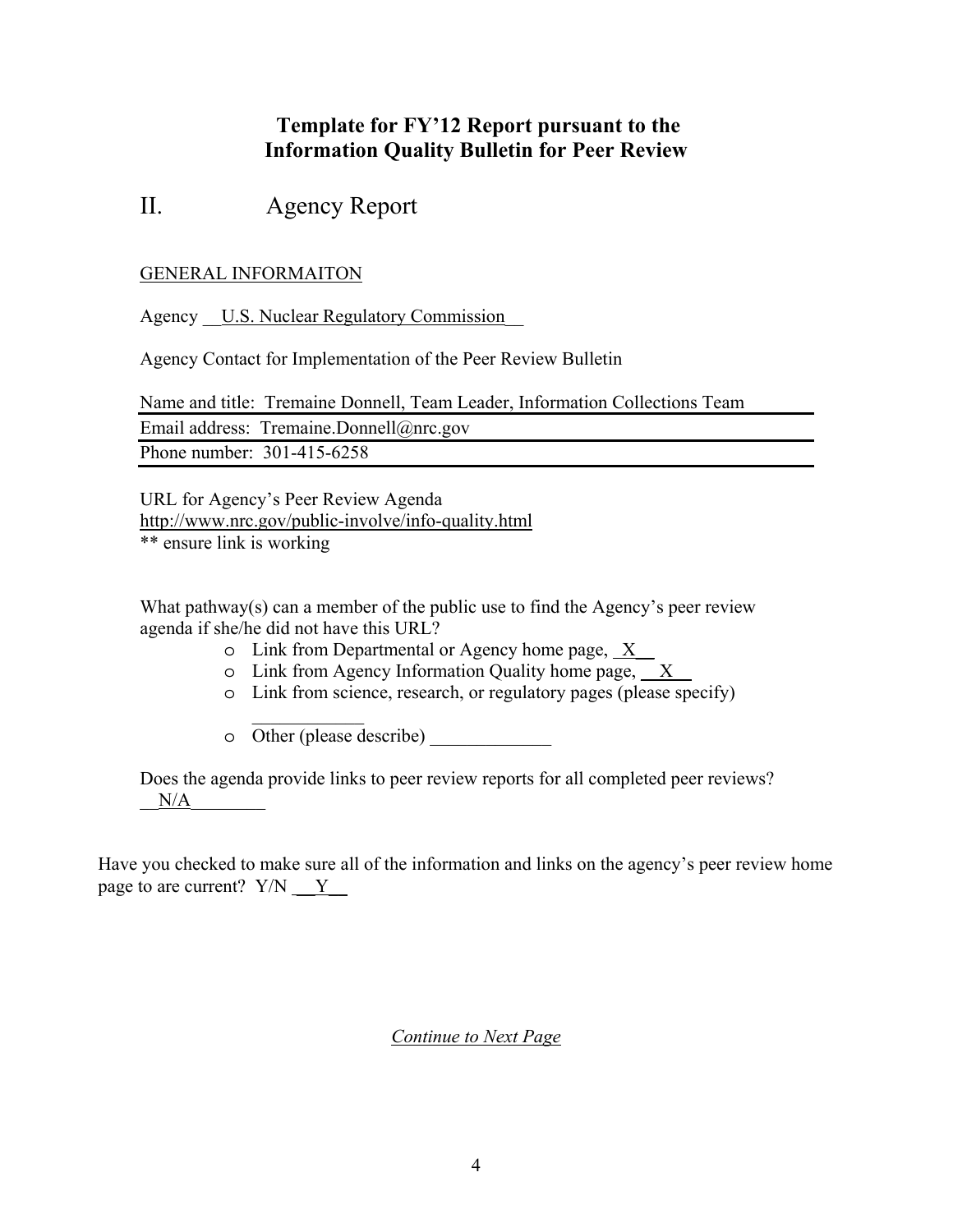## **Template for FY'12 Report pursuant to the Information Quality Bulletin for Peer Review**

# II. Agency Report

### GENERAL INFORMAITON

Agency U.S. Nuclear Regulatory Commission

Agency Contact for Implementation of the Peer Review Bulletin

Name and title: Tremaine Donnell, Team Leader, Information Collections Team Email address: Tremaine.Donnell@nrc.gov

Phone number: 301-415-6258

URL for Agency's Peer Review Agenda http://www.nrc.gov/public-involve/info-quality.html \*\* ensure link is working

What pathway(s) can a member of the public use to find the Agency's peer review agenda if she/he did not have this URL?

- o Link from Departmental or Agency home page, X\_\_
- o Link from Agency Information Quality home page, \_\_X\_\_
- o Link from science, research, or regulatory pages (please specify)
- o Other (please describe) \_\_\_\_\_\_\_\_\_\_\_\_\_

 $\frac{1}{2}$ 

Does the agenda provide links to peer review reports for all completed peer reviews?  $N/A$ 

Have you checked to make sure all of the information and links on the agency's peer review home page to are current?  $Y/N \t Y$ 

*Continue to Next Page*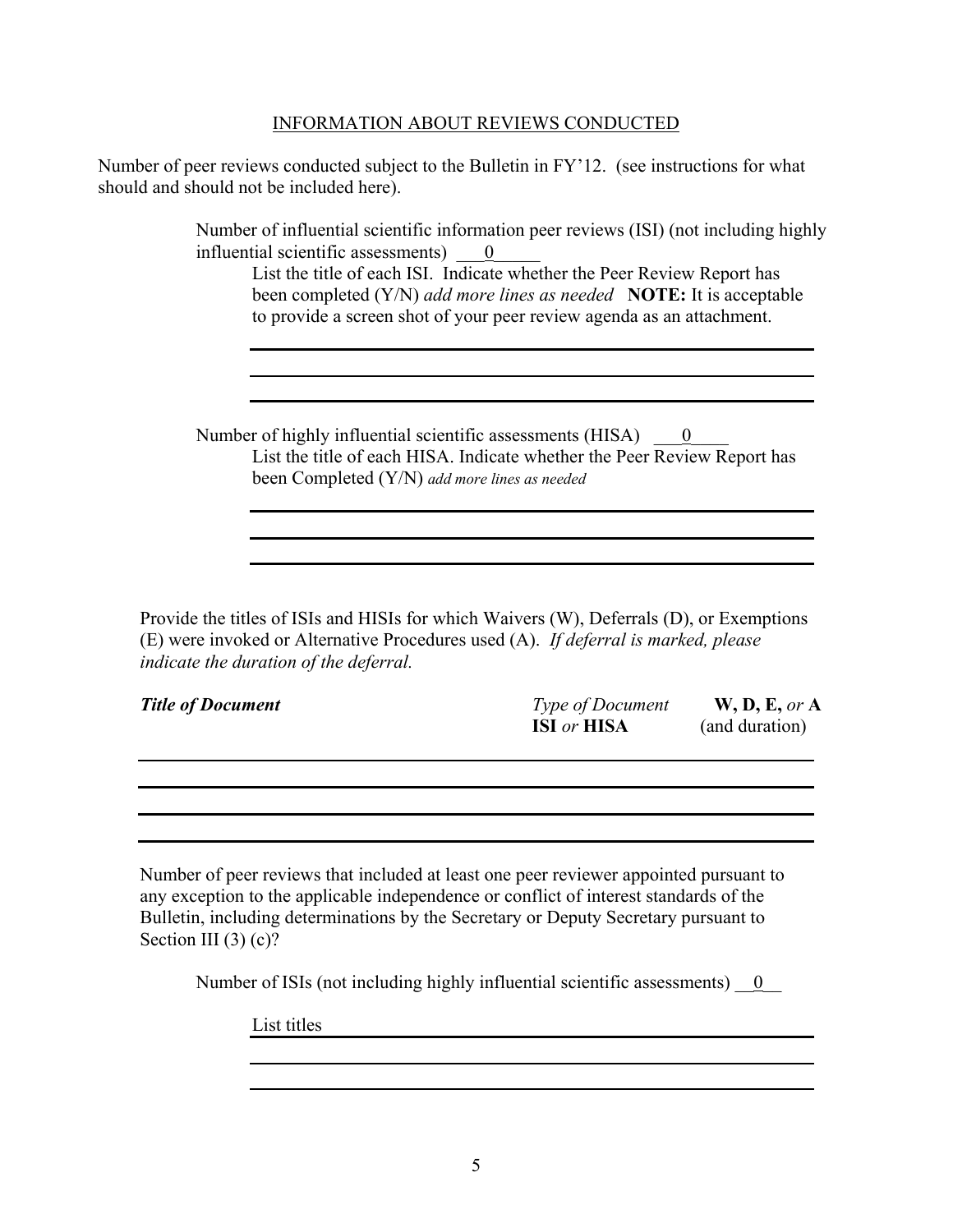#### INFORMATION ABOUT REVIEWS CONDUCTED

Number of peer reviews conducted subject to the Bulletin in FY'12. (see instructions for what should and should not be included here).

> Number of influential scientific information peer reviews (ISI) (not including highly influential scientific assessments)  $\qquad 0$

List the title of each ISI. Indicate whether the Peer Review Report has been completed (Y/N) *add more lines as needed* **NOTE:** It is acceptable to provide a screen shot of your peer review agenda as an attachment.

Number of highly influential scientific assessments (HISA)  $\qquad \underline{0}$ List the title of each HISA. Indicate whether the Peer Review Report has been Completed (Y/N) *add more lines as needed*

Provide the titles of ISIs and HISIs for which Waivers (W), Deferrals (D), or Exemptions (E) were invoked or Alternative Procedures used (A). *If deferral is marked, please indicate the duration of the deferral.*

| <b>Title of Document</b> | <b>Type of Document</b>   | W, D, E, or A  |
|--------------------------|---------------------------|----------------|
|                          | <b>ISI</b> or <b>HISA</b> | (and duration) |

Number of peer reviews that included at least one peer reviewer appointed pursuant to any exception to the applicable independence or conflict of interest standards of the Bulletin, including determinations by the Secretary or Deputy Secretary pursuant to Section III (3) (c)?

Number of ISIs (not including highly influential scientific assessments)  $\qquad 0$ 

List titles